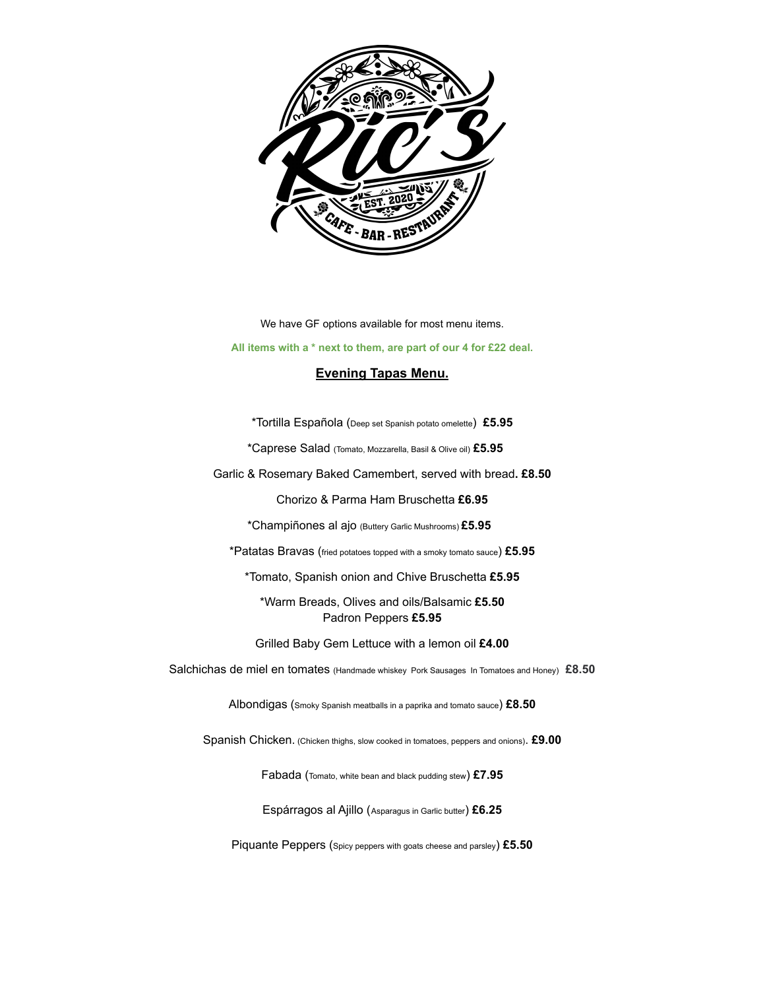

We have GF options available for most menu items.

**All items with a \* next to them, are part of our 4 for £22 deal.**

## **Evening Tapas Menu.**

\*Tortilla Española (Deep set Spanish potato omelette) **£5.95**

\*Caprese Salad (Tomato, Mozzarella, Basil & Olive oil) **£5.95**

Garlic & Rosemary Baked Camembert, served with bread**. £8.50**

Chorizo & Parma Ham Bruschetta **£6.95**

\*Champiñones al ajo (Buttery Garlic Mushrooms) **£5.95**

\*Patatas Bravas (fried potatoes topped with <sup>a</sup> smoky tomato sauce) **£5.95**

\*Tomato, Spanish onion and Chive Bruschetta **£5.95**

\*Warm Breads, Olives and oils/Balsamic **£5.50** Padron Peppers **£5.95**

Grilled Baby Gem Lettuce with a lemon oil **£4.00**

Salchichas de miel en tomates (Handmade whiskey Pork Sausages In Tomatoes and Honey) **£8.50**

Albondigas (Smoky Spanish meatballs in <sup>a</sup> paprika and tomato sauce) **£8.50**

Spanish Chicken. (Chicken thighs, slow cooked in tomatoes, peppers and onions). **£9.00**

Fabada (Tomato, white bean and black pudding stew) **£7.95**

Espárragos al Ajillo (Asparagus in Garlic butter) **£6.25**

Piquante Peppers (Spicy peppers with goats cheese and parsley) **£5.50**